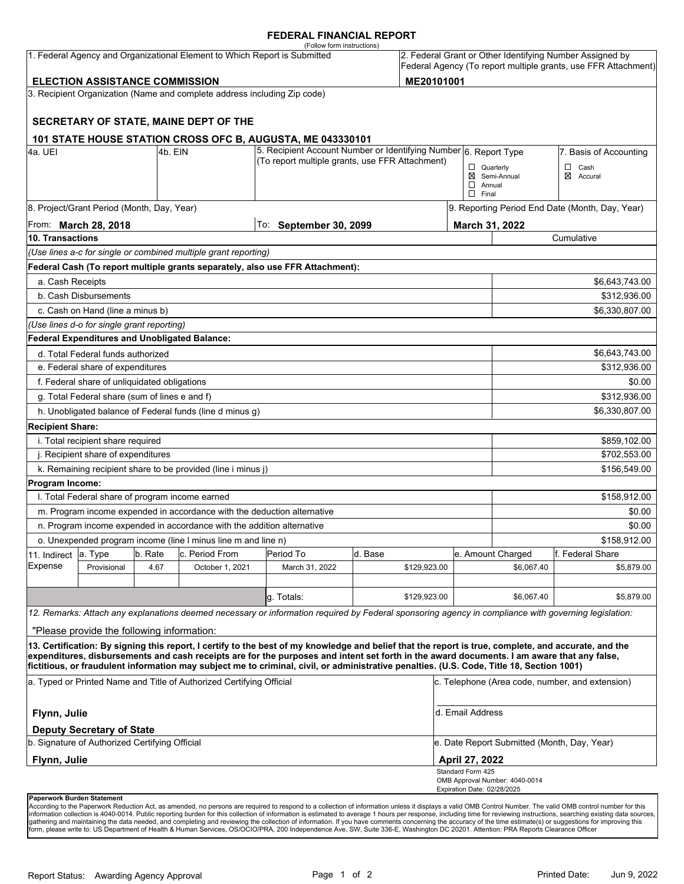#### **FEDERAL FINANCIAL REPORT**

|                                                                                    |                                                               |                                                                                                                                 |                                                                          | (Follow form instructions)                                                                                                                                                                                                                                                              |         |              |                                                     |                                                                                                                            |                  |  |  |
|------------------------------------------------------------------------------------|---------------------------------------------------------------|---------------------------------------------------------------------------------------------------------------------------------|--------------------------------------------------------------------------|-----------------------------------------------------------------------------------------------------------------------------------------------------------------------------------------------------------------------------------------------------------------------------------------|---------|--------------|-----------------------------------------------------|----------------------------------------------------------------------------------------------------------------------------|------------------|--|--|
| 1. Federal Agency and Organizational Element to Which Report is Submitted          |                                                               |                                                                                                                                 |                                                                          |                                                                                                                                                                                                                                                                                         |         |              |                                                     | 2. Federal Grant or Other Identifying Number Assigned by<br>Federal Agency (To report multiple grants, use FFR Attachment) |                  |  |  |
| ME20101001<br><b>ELECTION ASSISTANCE COMMISSION</b>                                |                                                               |                                                                                                                                 |                                                                          |                                                                                                                                                                                                                                                                                         |         |              |                                                     |                                                                                                                            |                  |  |  |
|                                                                                    |                                                               |                                                                                                                                 | 3. Recipient Organization (Name and complete address including Zip code) |                                                                                                                                                                                                                                                                                         |         |              |                                                     |                                                                                                                            |                  |  |  |
|                                                                                    |                                                               |                                                                                                                                 | SECRETARY OF STATE, MAINE DEPT OF THE                                    |                                                                                                                                                                                                                                                                                         |         |              |                                                     |                                                                                                                            |                  |  |  |
|                                                                                    |                                                               |                                                                                                                                 |                                                                          | 101 STATE HOUSE STATION CROSS OFC B, AUGUSTA, ME 043330101                                                                                                                                                                                                                              |         |              |                                                     |                                                                                                                            |                  |  |  |
| 4a. UEI                                                                            |                                                               | 5. Recipient Account Number or Identifying Number 6. Report Type<br>l4b. EIN<br>(To report multiple grants, use FFR Attachment) |                                                                          |                                                                                                                                                                                                                                                                                         |         |              | 7. Basis of Accounting                              |                                                                                                                            |                  |  |  |
|                                                                                    |                                                               |                                                                                                                                 |                                                                          |                                                                                                                                                                                                                                                                                         |         |              | $\Box$ Quarterly<br>$\Box$ Cash<br>⊠ Semi-Annual    |                                                                                                                            |                  |  |  |
|                                                                                    |                                                               |                                                                                                                                 |                                                                          |                                                                                                                                                                                                                                                                                         |         |              | $\Box$ Annual<br>$\Box$ Final                       |                                                                                                                            | ⊠ Accural        |  |  |
|                                                                                    | 8. Project/Grant Period (Month, Day, Year)                    |                                                                                                                                 |                                                                          |                                                                                                                                                                                                                                                                                         |         |              |                                                     | 9. Reporting Period End Date (Month, Day, Year)                                                                            |                  |  |  |
|                                                                                    | From: March 28, 2018                                          |                                                                                                                                 |                                                                          | To:<br><b>September 30, 2099</b>                                                                                                                                                                                                                                                        |         |              |                                                     | March 31, 2022                                                                                                             |                  |  |  |
| 10. Transactions                                                                   |                                                               |                                                                                                                                 |                                                                          |                                                                                                                                                                                                                                                                                         |         |              | Cumulative                                          |                                                                                                                            |                  |  |  |
|                                                                                    |                                                               |                                                                                                                                 | (Use lines a-c for single or combined multiple grant reporting)          |                                                                                                                                                                                                                                                                                         |         |              |                                                     |                                                                                                                            |                  |  |  |
|                                                                                    |                                                               |                                                                                                                                 |                                                                          | Federal Cash (To report multiple grants separately, also use FFR Attachment):                                                                                                                                                                                                           |         |              |                                                     |                                                                                                                            |                  |  |  |
| a. Cash Receipts                                                                   |                                                               |                                                                                                                                 |                                                                          |                                                                                                                                                                                                                                                                                         |         |              |                                                     |                                                                                                                            | \$6,643,743.00   |  |  |
|                                                                                    | b. Cash Disbursements                                         |                                                                                                                                 |                                                                          |                                                                                                                                                                                                                                                                                         |         |              |                                                     |                                                                                                                            | \$312,936.00     |  |  |
|                                                                                    | c. Cash on Hand (line a minus b)                              |                                                                                                                                 |                                                                          |                                                                                                                                                                                                                                                                                         |         |              |                                                     |                                                                                                                            | \$6,330,807.00   |  |  |
|                                                                                    | (Use lines d-o for single grant reporting)                    |                                                                                                                                 |                                                                          |                                                                                                                                                                                                                                                                                         |         |              |                                                     |                                                                                                                            |                  |  |  |
|                                                                                    | <b>Federal Expenditures and Unobligated Balance:</b>          |                                                                                                                                 |                                                                          |                                                                                                                                                                                                                                                                                         |         |              |                                                     |                                                                                                                            |                  |  |  |
|                                                                                    | d. Total Federal funds authorized                             |                                                                                                                                 |                                                                          |                                                                                                                                                                                                                                                                                         |         |              |                                                     |                                                                                                                            | \$6,643,743.00   |  |  |
| e. Federal share of expenditures                                                   |                                                               |                                                                                                                                 |                                                                          |                                                                                                                                                                                                                                                                                         |         |              |                                                     |                                                                                                                            | \$312,936.00     |  |  |
|                                                                                    | f. Federal share of unliquidated obligations                  |                                                                                                                                 |                                                                          |                                                                                                                                                                                                                                                                                         |         |              |                                                     |                                                                                                                            | \$0.00           |  |  |
|                                                                                    | g. Total Federal share (sum of lines e and f)<br>\$312,936.00 |                                                                                                                                 |                                                                          |                                                                                                                                                                                                                                                                                         |         |              |                                                     |                                                                                                                            |                  |  |  |
|                                                                                    |                                                               |                                                                                                                                 | h. Unobligated balance of Federal funds (line d minus g)                 |                                                                                                                                                                                                                                                                                         |         |              |                                                     |                                                                                                                            | \$6,330,807.00   |  |  |
| <b>Recipient Share:</b>                                                            |                                                               |                                                                                                                                 |                                                                          |                                                                                                                                                                                                                                                                                         |         |              |                                                     |                                                                                                                            |                  |  |  |
| i. Total recipient share required<br>\$859,102.00                                  |                                                               |                                                                                                                                 |                                                                          |                                                                                                                                                                                                                                                                                         |         |              |                                                     |                                                                                                                            |                  |  |  |
| j. Recipient share of expenditures                                                 |                                                               |                                                                                                                                 |                                                                          |                                                                                                                                                                                                                                                                                         |         |              |                                                     | \$702,553.00                                                                                                               |                  |  |  |
| k. Remaining recipient share to be provided (line i minus j)<br>\$156,549.00       |                                                               |                                                                                                                                 |                                                                          |                                                                                                                                                                                                                                                                                         |         |              |                                                     |                                                                                                                            |                  |  |  |
| Program Income:                                                                    |                                                               |                                                                                                                                 |                                                                          |                                                                                                                                                                                                                                                                                         |         |              |                                                     |                                                                                                                            |                  |  |  |
|                                                                                    | I. Total Federal share of program income earned               |                                                                                                                                 |                                                                          |                                                                                                                                                                                                                                                                                         |         |              |                                                     |                                                                                                                            | \$158,912.00     |  |  |
| m. Program income expended in accordance with the deduction alternative            |                                                               |                                                                                                                                 |                                                                          |                                                                                                                                                                                                                                                                                         |         |              |                                                     | \$0.00                                                                                                                     |                  |  |  |
| n. Program income expended in accordance with the addition alternative             |                                                               |                                                                                                                                 |                                                                          |                                                                                                                                                                                                                                                                                         |         |              |                                                     | \$0.00                                                                                                                     |                  |  |  |
| o. Unexpended program income (line I minus line m and line n)                      |                                                               |                                                                                                                                 |                                                                          |                                                                                                                                                                                                                                                                                         |         |              |                                                     |                                                                                                                            | \$158,912.00     |  |  |
| 11. Indirect                                                                       | a. Type                                                       | b. Rate                                                                                                                         | c. Period From                                                           | Period To                                                                                                                                                                                                                                                                               | d. Base |              |                                                     | e. Amount Charged                                                                                                          | f. Federal Share |  |  |
| <b>Expense</b>                                                                     | Provisional                                                   | 4.67                                                                                                                            | October 1, 2021                                                          | March 31, 2022                                                                                                                                                                                                                                                                          |         | \$129,923.00 |                                                     | \$6,067.40                                                                                                                 | \$5,879.00       |  |  |
|                                                                                    |                                                               |                                                                                                                                 |                                                                          |                                                                                                                                                                                                                                                                                         |         |              |                                                     |                                                                                                                            |                  |  |  |
|                                                                                    |                                                               |                                                                                                                                 |                                                                          | g. Totals:                                                                                                                                                                                                                                                                              |         | \$129,923.00 |                                                     | \$6,067.40                                                                                                                 | \$5,879.00       |  |  |
|                                                                                    |                                                               |                                                                                                                                 |                                                                          | 12. Remarks: Attach any explanations deemed necessary or information required by Federal sponsoring agency in compliance with governing legislation:                                                                                                                                    |         |              |                                                     |                                                                                                                            |                  |  |  |
|                                                                                    | "Please provide the following information:                    |                                                                                                                                 |                                                                          |                                                                                                                                                                                                                                                                                         |         |              |                                                     |                                                                                                                            |                  |  |  |
|                                                                                    |                                                               |                                                                                                                                 |                                                                          | 13. Certification: By signing this report, I certify to the best of my knowledge and belief that the report is true, complete, and accurate, and the                                                                                                                                    |         |              |                                                     |                                                                                                                            |                  |  |  |
|                                                                                    |                                                               |                                                                                                                                 |                                                                          | expenditures, disbursements and cash receipts are for the purposes and intent set forth in the award documents. I am aware that any false,<br>fictitious, or fraudulent information may subject me to criminal, civil, or administrative penalties. (U.S. Code, Title 18, Section 1001) |         |              |                                                     |                                                                                                                            |                  |  |  |
| a. Typed or Printed Name and Title of Authorized Certifying Official               |                                                               |                                                                                                                                 |                                                                          |                                                                                                                                                                                                                                                                                         |         |              | c. Telephone (Area code, number, and extension)     |                                                                                                                            |                  |  |  |
| Flynn, Julie                                                                       |                                                               |                                                                                                                                 |                                                                          |                                                                                                                                                                                                                                                                                         |         |              | d. Email Address                                    |                                                                                                                            |                  |  |  |
| <b>Deputy Secretary of State</b><br>b. Signature of Authorized Certifying Official |                                                               |                                                                                                                                 |                                                                          |                                                                                                                                                                                                                                                                                         |         |              | e. Date Report Submitted (Month, Day, Year)         |                                                                                                                            |                  |  |  |
| Flynn, Julie                                                                       |                                                               |                                                                                                                                 |                                                                          |                                                                                                                                                                                                                                                                                         |         |              | April 27, 2022                                      |                                                                                                                            |                  |  |  |
|                                                                                    |                                                               |                                                                                                                                 |                                                                          |                                                                                                                                                                                                                                                                                         |         |              | Standard Form 425<br>OMB Approval Number: 4040-0014 |                                                                                                                            |                  |  |  |
|                                                                                    |                                                               |                                                                                                                                 |                                                                          |                                                                                                                                                                                                                                                                                         |         |              | Expiration Date: 02/28/2025                         |                                                                                                                            |                  |  |  |

#### **Paperwork Burden Statement**

According to the Paperwork Reduction Act, as amended, no persons are required to respond to a collection of information unless it displays a valid OMB Control Number. The valid OMB control number for this<br>information colle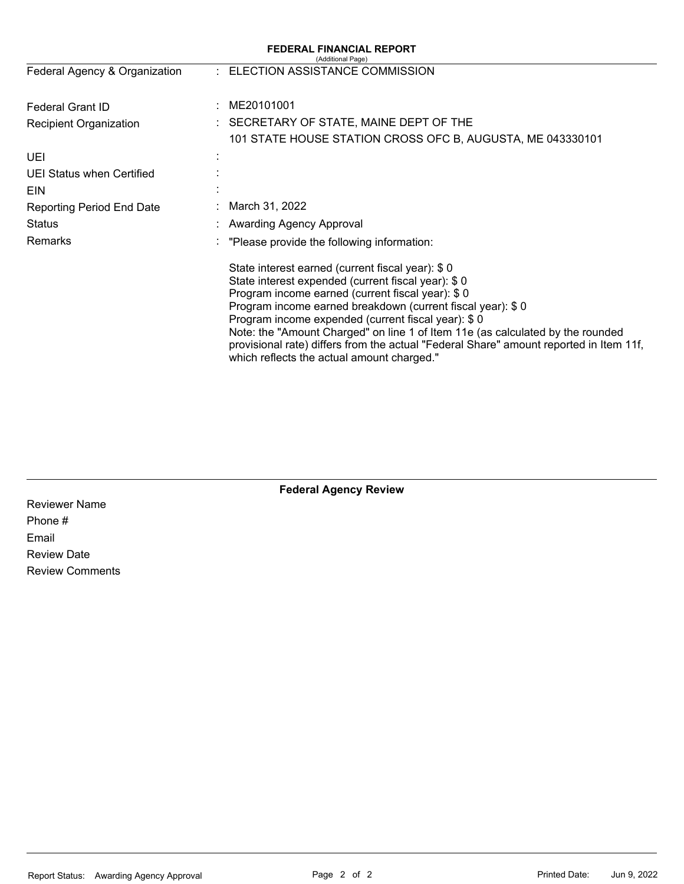| <b>FEDERAL FINANCIAL REPORT</b><br>(Additional Page) |                                                                                                                                                                                                                                                                                                                                                                                                                                                                                                          |  |  |  |  |
|------------------------------------------------------|----------------------------------------------------------------------------------------------------------------------------------------------------------------------------------------------------------------------------------------------------------------------------------------------------------------------------------------------------------------------------------------------------------------------------------------------------------------------------------------------------------|--|--|--|--|
| Federal Agency & Organization                        | ELECTION ASSISTANCE COMMISSION<br>$\mathcal{F}_{\mathcal{F}}$                                                                                                                                                                                                                                                                                                                                                                                                                                            |  |  |  |  |
| <b>Federal Grant ID</b>                              | ME20101001                                                                                                                                                                                                                                                                                                                                                                                                                                                                                               |  |  |  |  |
| <b>Recipient Organization</b>                        | SECRETARY OF STATE, MAINE DEPT OF THE<br>101 STATE HOUSE STATION CROSS OFC B, AUGUSTA, ME 043330101                                                                                                                                                                                                                                                                                                                                                                                                      |  |  |  |  |
| UEI                                                  |                                                                                                                                                                                                                                                                                                                                                                                                                                                                                                          |  |  |  |  |
| UEI Status when Certified                            |                                                                                                                                                                                                                                                                                                                                                                                                                                                                                                          |  |  |  |  |
| <b>EIN</b>                                           |                                                                                                                                                                                                                                                                                                                                                                                                                                                                                                          |  |  |  |  |
| <b>Reporting Period End Date</b>                     | March 31, 2022                                                                                                                                                                                                                                                                                                                                                                                                                                                                                           |  |  |  |  |
| <b>Status</b>                                        | Awarding Agency Approval                                                                                                                                                                                                                                                                                                                                                                                                                                                                                 |  |  |  |  |
| Remarks                                              | "Please provide the following information:                                                                                                                                                                                                                                                                                                                                                                                                                                                               |  |  |  |  |
|                                                      | State interest earned (current fiscal year): \$0<br>State interest expended (current fiscal year): \$0<br>Program income earned (current fiscal year): \$0<br>Program income earned breakdown (current fiscal year): \$0<br>Program income expended (current fiscal year): \$0<br>Note: the "Amount Charged" on line 1 of Item 11e (as calculated by the rounded<br>provisional rate) differs from the actual "Federal Share" amount reported in Item 11f,<br>which reflects the actual amount charged." |  |  |  |  |

**Federal Agency Review** 

Reviewer Name Phone # Email Review Date Review Comments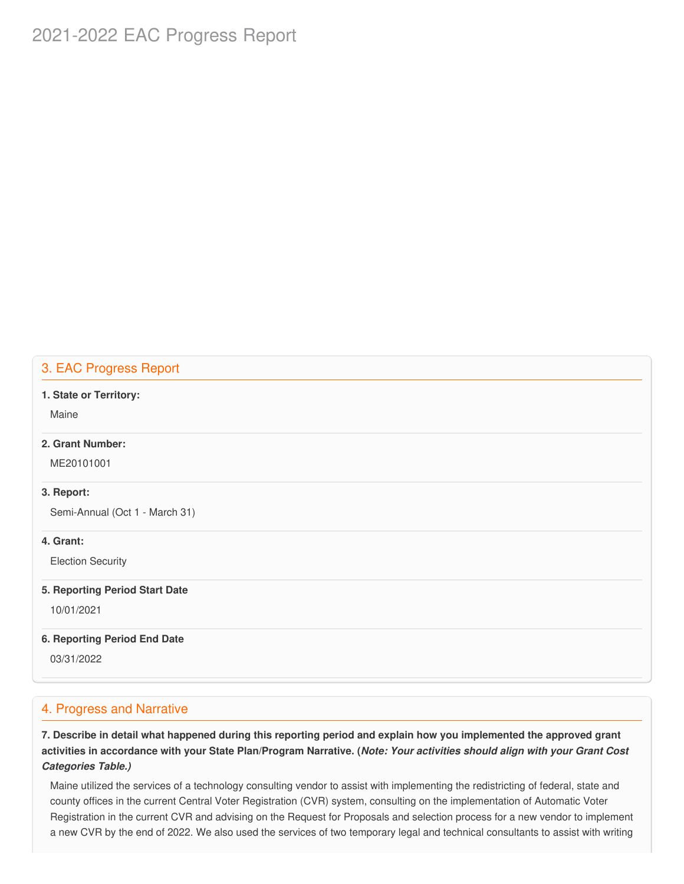# 2021-2022 EAC Progress Report

## 3. EAC Progress Report

#### **1. State or Territory:**

Maine

## **2. Grant Number:**

ME20101001

#### **3. Report:**

Semi-Annual (Oct 1 - March 31)

#### **4. Grant:**

Election Security

#### **5. Reporting Period Start Date**

10/01/2021

#### **6. Reporting Period End Date**

03/31/2022

### 4. Progress and Narrative

7. Describe in detail what happened during this reporting period and explain how you implemented the approved grant activities in accordance with your State Plan/Program Narrative. (*Note: Your activities should align with your Grant Cost Categories Table.)*

 Maine utilized the services of a technology consulting vendor to assist with implementing the redistricting of federal, state and county offices in the current Central Voter Registration (CVR) system, consulting on the implementation of Automatic Voter Registration in the current CVR and advising on the Request for Proposals and selection process for a new vendor to implement a new CVR by the end of 2022. We also used the services of two temporary legal and technical consultants to assist with writing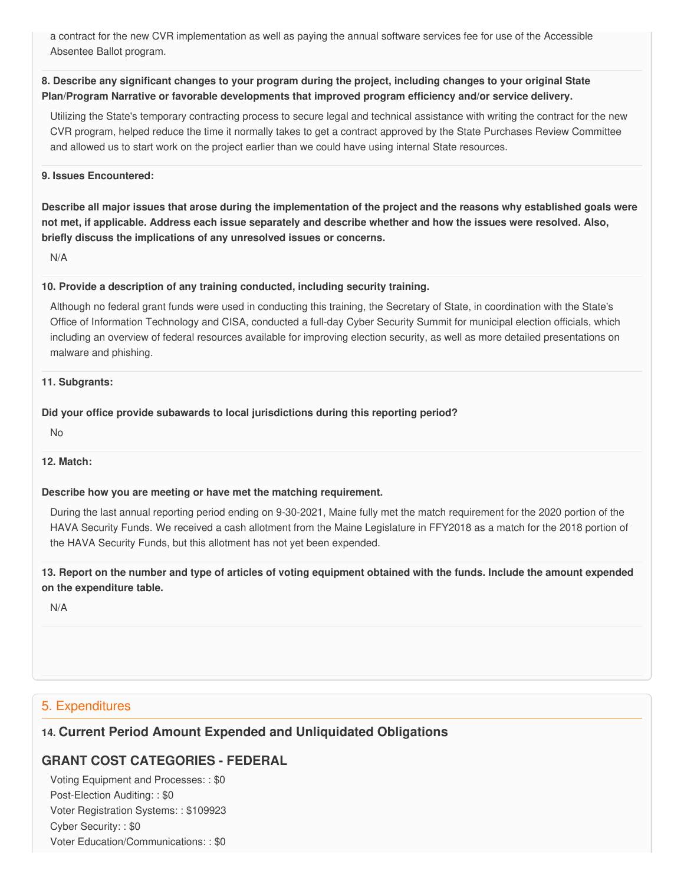a contract for the new CVR implementation as well as paying the annual software services fee for use of the Accessible Absentee Ballot program.

## 8. Describe any significant changes to your program during the project, including changes to your original State  **Plan/Program Narrative or favorable developments that improved program efficiency and/or service delivery.**

 Utilizing the State's temporary contracting process to secure legal and technical assistance with writing the contract for the new CVR program, helped reduce the time it normally takes to get a contract approved by the State Purchases Review Committee and allowed us to start work on the project earlier than we could have using internal State resources.

#### **9. Issues Encountered:**

Describe all major issues that arose during the implementation of the project and the reasons why established goals were not met, if applicable. Address each issue separately and describe whether and how the issues were resolved. Also,  **briefly discuss the implications of any unresolved issues or concerns.**

N/A

#### **10. Provide a description of any training conducted, including security training.**

 Although no federal grant funds were used in conducting this training, the Secretary of State, in coordination with the State's Office of Information Technology and CISA, conducted a full-day Cyber Security Summit for municipal election officials, which including an overview of federal resources available for improving election security, as well as more detailed presentations on malware and phishing.

#### **11. Subgrants:**

#### **Did your office provide subawards to local jurisdictions during this reporting period?**

No

#### **12. Match:**

#### **Describe how you are meeting or have met the matching requirement.**

 During the last annual reporting period ending on 9-30-2021, Maine fully met the match requirement for the 2020 portion of the HAVA Security Funds. We received a cash allotment from the Maine Legislature in FFY2018 as a match for the 2018 portion of the HAVA Security Funds, but this allotment has not yet been expended.

13. Report on the number and type of articles of voting equipment obtained with the funds. Include the amount expended  **on the expenditure table.**

N/A

### 5. Expenditures

## **14. Current Period Amount Expended and Unliquidated Obligations**

## **GRANT COST CATEGORIES - FEDERAL**

 Voting Equipment and Processes: : \$0 Post-Election Auditing: : \$0 Voter Registration Systems: : \$109923 Cyber Security: : \$0 Voter Education/Communications: : \$0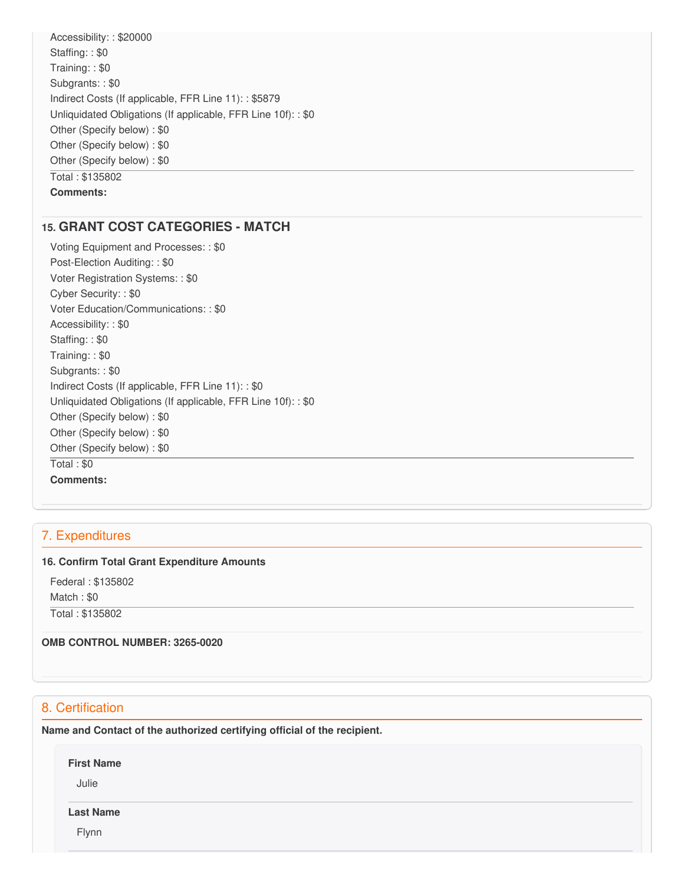Accessibility: : \$20000 Staffing: : \$0 Training: : \$0 Subgrants: : \$0 Indirect Costs (If applicable, FFR Line 11): : \$5879 Unliquidated Obligations (If applicable, FFR Line 10f): : \$0 Other (Specify below) : \$0 Other (Specify below) : \$0 Other (Specify below) : \$0 Total : \$135802 **Comments:**

## **15. GRANT COST CATEGORIES - MATCH**

 Voting Equipment and Processes: : \$0 Post-Election Auditing: : \$0 Voter Registration Systems: : \$0 Cyber Security: : \$0 Voter Education/Communications: : \$0 Accessibility: : \$0 Staffing: : \$0 Training: : \$0 Subgrants: : \$0 Indirect Costs (If applicable, FFR Line 11): : \$0 Unliquidated Obligations (If applicable, FFR Line 10f): : \$0 Other (Specify below) : \$0 Other (Specify below) : \$0 Other (Specify below) : \$0 Total : \$0 **Comments:**

## 7. Expenditures

#### **16. Confirm Total Grant Expenditure Amounts**

 Federal : \$135802 Match : \$0

Total : \$135802

 **OMB CONTROL NUMBER: 3265-0020**

## 8. Certification

 **Name and Contact of the authorized certifying official of the recipient.**

**First Name**

Julie

## **Last Name**

Flynn